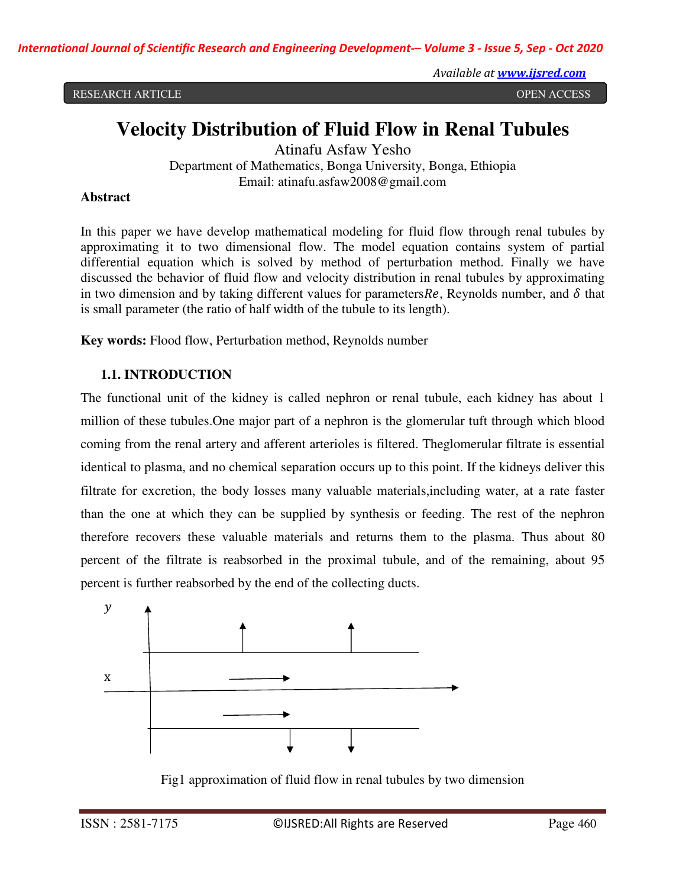*International Journal of Scientific Research and Engineering Development-– Volume 3 - Issue 5, Sep - Oct 2020*

 *Available at www.ijsred.com*

RESEARCH ARTICLE **SECOND ACCESS** 

# **Velocity Distribution of Fluid Flow in Renal Tubules**

Atinafu Asfaw Yesho Department of Mathematics, Bonga University, Bonga, Ethiopia Email: atinafu.asfaw2008@gmail.com

#### **Abstract**

In this paper we have develop mathematical modeling for fluid flow through renal tubules by approximating it to two dimensional flow. The model equation contains system of partial differential equation which is solved by method of perturbation method. Finally we have discussed the behavior of fluid flow and velocity distribution in renal tubules by approximating in two dimension and by taking different values for parameters $Re$ , Reynolds number, and  $\delta$  that is small parameter (the ratio of half width of the tubule to its length).

**Key words:** Flood flow, Perturbation method, Reynolds number

#### **1.1. INTRODUCTION**

The functional unit of the kidney is called nephron or renal tubule, each kidney has about 1 million of these tubules.One major part of a nephron is the glomerular tuft through which blood coming from the renal artery and afferent arterioles is filtered. Theglomerular filtrate is essential identical to plasma, and no chemical separation occurs up to this point. If the kidneys deliver this filtrate for excretion, the body losses many valuable materials,including water, at a rate faster than the one at which they can be supplied by synthesis or feeding. The rest of the nephron therefore recovers these valuable materials and returns them to the plasma. Thus about 80 percent of the filtrate is reabsorbed in the proximal tubule, and of the remaining, about 95 percent is further reabsorbed by the end of the collecting ducts.



Fig1 approximation of fluid flow in renal tubules by two dimension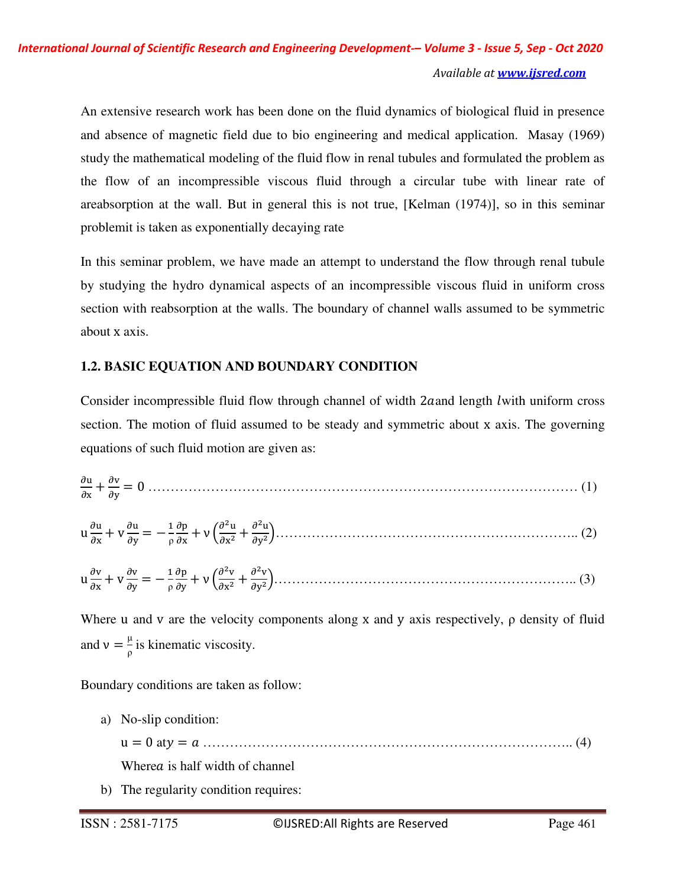An extensive research work has been done on the fluid dynamics of biological fluid in presence and absence of magnetic field due to bio engineering and medical application. Masay (1969) study the mathematical modeling of the fluid flow in renal tubules and formulated the problem as the flow of an incompressible viscous fluid through a circular tube with linear rate of areabsorption at the wall. But in general this is not true, [Kelman (1974)], so in this seminar problemit is taken as exponentially decaying rate

In this seminar problem, we have made an attempt to understand the flow through renal tubule by studying the hydro dynamical aspects of an incompressible viscous fluid in uniform cross section with reabsorption at the walls. The boundary of channel walls assumed to be symmetric about x axis.

## **1.2. BASIC EQUATION AND BOUNDARY CONDITION**

Consider incompressible fluid flow through channel of width 2aand length lwith uniform cross section. The motion of fluid assumed to be steady and symmetric about x axis. The governing equations of such fluid motion are given as:

 + = 0 …………………………………………………………………………………… (1) u + v = − ρ + ν + ………………………………………………………….. (2)

u + v = − ρ + ν + ………………………………………………………….. (3)

Where u and v are the velocity components along x and y axis respectively, ρ density of fluid and  $v = \frac{\mu}{\rho}$  $\frac{\mu}{\rho}$  is kinematic viscosity.

Boundary conditions are taken as follow:

a) No-slip condition: u = 0 at = ……………………………………………………………………….. (4)

Where  $a$  is half width of channel

b) The regularity condition requires: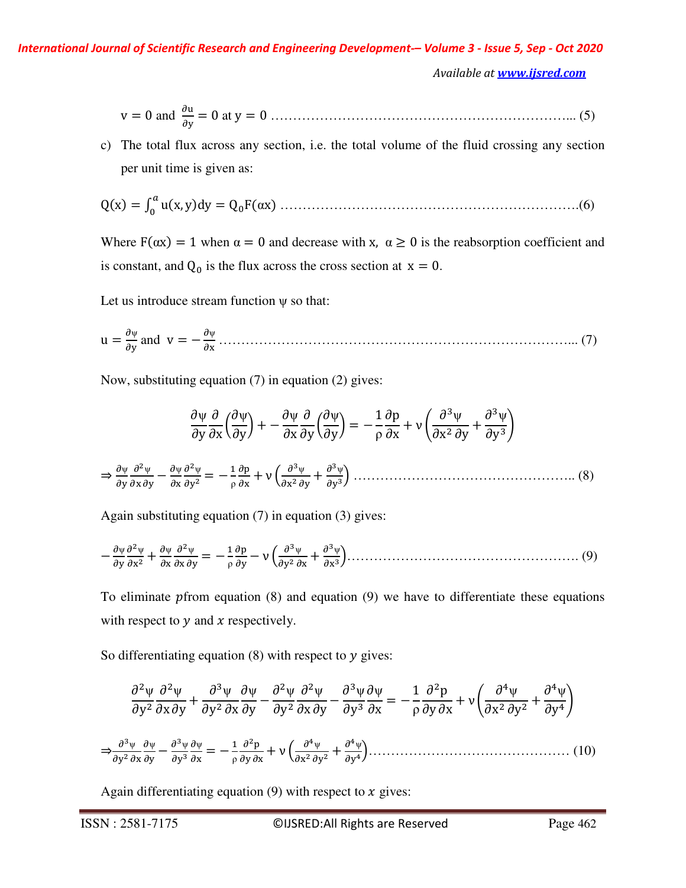*Available at www.ijsred.com*

v = 0 and = 0 at y = 0 …………………………………………………………... (5)

c) The total flux across any section, i.e. the total volume of the fluid crossing any section per unit time is given as:

Qx <sup>=</sup> ux, ydy ! " = Q"Fαx ………………………………………………………….(6)

Where  $F(\alpha x) = 1$  when  $\alpha = 0$  and decrease with x,  $\alpha \ge 0$  is the reabsorption coefficient and is constant, and  $Q_0$  is the flux across the cross section at  $x = 0$ .

Let us introduce stream function  $\psi$  so that:

u = ψ and v = − ψ ……………………………………………………………………... (7)

Now, substituting equation (7) in equation (2) gives:

$$
\frac{\partial \psi}{\partial y} \frac{\partial}{\partial x} \left( \frac{\partial \psi}{\partial y} \right) + \frac{\partial \psi}{\partial x} \frac{\partial}{\partial y} \left( \frac{\partial \psi}{\partial y} \right) = -\frac{1}{\rho} \frac{\partial p}{\partial x} + \nu \left( \frac{\partial^3 \psi}{\partial x^2 \partial y} + \frac{\partial^3 \psi}{\partial y^3} \right)
$$

$$
\Rightarrow \frac{\partial \psi}{\partial y} \frac{\partial^2 \psi}{\partial x \partial y} - \frac{\partial \psi}{\partial x} \frac{\partial^2 \psi}{\partial y^2} = -\frac{1}{\rho} \frac{\partial p}{\partial x} + \nu \left( \frac{\partial^3 \psi}{\partial x^2 \partial y} + \frac{\partial^3 \psi}{\partial y^3} \right) \dots \dots \dots \dots \dots \dots \dots \dots \dots \dots \dots \dots \dots \dots \dots \tag{8}
$$

Again substituting equation (7) in equation (3) gives:

$$
-\frac{\partial \psi}{\partial y} \frac{\partial^2 \psi}{\partial x^2} + \frac{\partial \psi}{\partial x} \frac{\partial^2 \psi}{\partial x \partial y} = -\frac{1}{\rho} \frac{\partial p}{\partial y} - \nu \left( \frac{\partial^3 \psi}{\partial y^2 \partial x} + \frac{\partial^3 \psi}{\partial x^3} \right) \dots \dots \dots \dots \dots \dots \dots \dots \dots \dots \dots \dots \dots \dots \dots \dots \tag{9}
$$

To eliminate  $p$  from equation  $(8)$  and equation  $(9)$  we have to differentiate these equations with respect to  $y$  and  $x$  respectively.

So differentiating equation  $(8)$  with respect to  $\gamma$  gives:

∂ -ψ ∂y- ∂ -ψ ∂x ∂y <sup>+</sup> ∂ ,ψ ∂y- ∂x ∂ψ ∂y <sup>−</sup> ∂ -ψ ∂y- ∂ -ψ ∂x ∂y <sup>−</sup> ∂ ,ψ ∂y, ∂ψ ∂x = − 1 ρ ∂ -p ∂y ∂x + ν + <sup>∂</sup> <sup>3</sup>ψ ∂x- ∂y- <sup>+</sup> ∂ <sup>3</sup>ψ ∂y<sup>3</sup> . ⇒ 0ψ ψ − 0ψ <sup>0</sup> ψ = − ρ + ν 4ψ + 4ψ <sup>4</sup> ……………………………………… (10)

Again differentiating equation (9) with respect to  $x$  gives: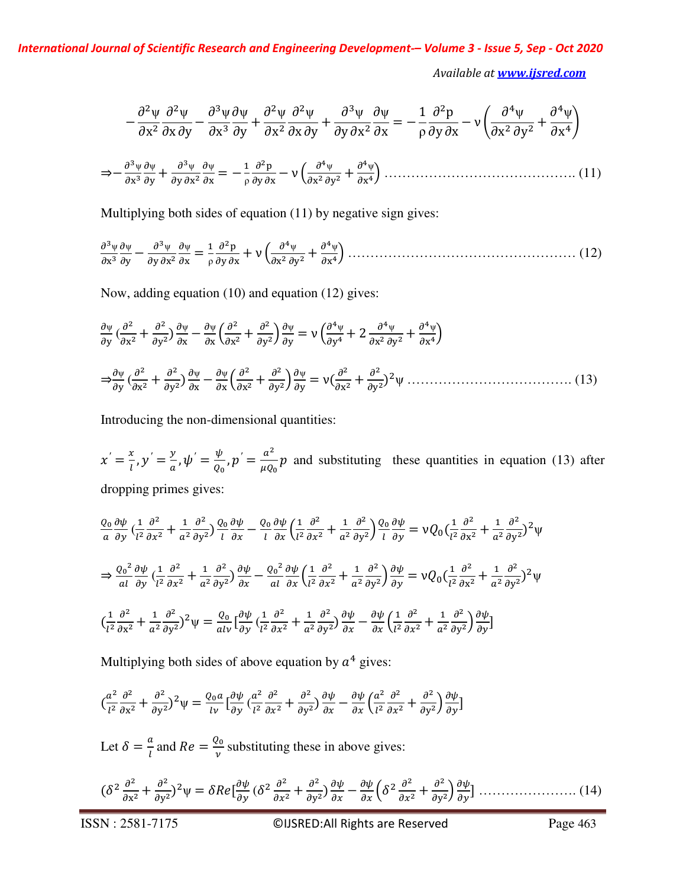*International Journal of Scientific Research and Engineering Development-– Volume 3 - Issue 5, Sep - Oct 2020*

 *Available at www.ijsred.com*

− ∂ -ψ ∂x- ∂ -ψ ∂x ∂y <sup>−</sup> ∂ ,ψ ∂x, ∂ψ ∂y <sup>+</sup> ∂ -ψ ∂x- ∂ -ψ ∂x ∂y <sup>+</sup> ∂ ,ψ ∂y ∂x- ∂ψ ∂x = − 1 ρ ∂ -p ∂y ∂x − ν + <sup>∂</sup> <sup>3</sup>ψ ∂x- ∂y- <sup>+</sup> ∂ <sup>3</sup>ψ ∂x<sup>3</sup> . ⇒− 0ψ <sup>0</sup> ψ + 0ψ ψ = − ρ − ν 4ψ + 4ψ <sup>4</sup> ……………………………………. (11)

Multiplying both sides of equation (11) by negative sign gives:

 0ψ <sup>0</sup> ψ − 0ψ ψ = ρ + ν 4ψ + 4ψ <sup>4</sup> …………………………………………… (12)

Now, adding equation (10) and equation (12) gives:

 ψ ( + ψ − ψ + ψ = ν 4ψ <sup>4</sup> + 2 4ψ + 4ψ <sup>4</sup> ⇒ ψ ( + ψ − ψ + ψ = ν + -ψ ………………………………. (13)

Introducing the non-dimensional quantities:

 $x'=\frac{x}{l}$  $\frac{x}{l}$ ,  $y'=\frac{y}{a}$  $\frac{y}{a}$ ,  $\psi' = \frac{\psi}{Q_0}$  $\frac{\psi}{Q_0}$ ,  $p'=\frac{a^2}{\mu Q_0}$  $\frac{a}{\mu Q_0}$  p and substituting these quantities in equation (13) after dropping primes gives:

$$
\frac{Q_0}{a} \frac{\partial \psi}{\partial y} \left( \frac{1}{l^2} \frac{\partial^2}{\partial x^2} + \frac{1}{a^2} \frac{\partial^2}{\partial y^2} \right) \frac{Q_0}{l} \frac{\partial \psi}{\partial x} - \frac{Q_0}{l} \frac{\partial \psi}{\partial x} \left( \frac{1}{l^2} \frac{\partial^2}{\partial x^2} + \frac{1}{a^2} \frac{\partial^2}{\partial y^2} \right) \frac{Q_0}{l} \frac{\partial \psi}{\partial y} = \nu Q_0 \left( \frac{1}{l^2} \frac{\partial^2}{\partial x^2} + \frac{1}{a^2} \frac{\partial^2}{\partial y^2} \right)^2 \psi
$$
\n
$$
\Rightarrow \frac{Q_0^2}{a l} \frac{\partial \psi}{\partial y} \left( \frac{1}{l^2} \frac{\partial^2}{\partial x^2} + \frac{1}{a^2} \frac{\partial^2}{\partial y^2} \right) \frac{\partial \psi}{\partial x} - \frac{Q_0^2}{a l} \frac{\partial \psi}{\partial x} \left( \frac{1}{l^2} \frac{\partial^2}{\partial x^2} + \frac{1}{a^2} \frac{\partial^2}{\partial y^2} \right) \frac{\partial \psi}{\partial y} = \nu Q_0 \left( \frac{1}{l^2} \frac{\partial^2}{\partial x^2} + \frac{1}{a^2} \frac{\partial^2}{\partial y^2} \right)^2 \psi
$$
\n
$$
\left( \frac{1}{l^2} \frac{\partial^2}{\partial x^2} + \frac{1}{a^2} \frac{\partial^2}{\partial y^2} \right)^2 \psi = \frac{Q_0}{a l \nu} \left[ \frac{\partial \psi}{\partial y} \left( \frac{1}{l^2} \frac{\partial^2}{\partial x^2} + \frac{1}{a^2} \frac{\partial^2}{\partial y^2} \right) \frac{\partial \psi}{\partial x} - \frac{\partial \psi}{\partial x} \left( \frac{1}{l^2} \frac{\partial^2}{\partial x^2} + \frac{1}{a^2} \frac{\partial^2}{\partial y^2} \right) \frac{\partial \psi}{\partial y} \right]
$$

Multiplying both sides of above equation by  $a^4$  gives:

$$
\left(\frac{a^2}{l^2}\frac{\partial^2}{\partial x^2} + \frac{\partial^2}{\partial y^2}\right)^2 \psi = \frac{Q_0 a}{l\nu} \left[\frac{\partial \psi}{\partial y} \left(\frac{a^2}{l^2}\frac{\partial^2}{\partial x^2} + \frac{\partial^2}{\partial y^2}\right)\frac{\partial \psi}{\partial x} - \frac{\partial \psi}{\partial x} \left(\frac{a^2}{l^2}\frac{\partial^2}{\partial x^2} + \frac{\partial^2}{\partial y^2}\right)\frac{\partial \psi}{\partial y}\right]
$$

Let  $\delta = \frac{a}{l}$  and  $Re = \frac{Q_0}{v}$  substituting these in above gives:

$$
(\delta^2 \frac{\partial^2}{\partial x^2} + \frac{\partial^2}{\partial y^2})^2 \psi = \delta Re \left[ \frac{\partial \psi}{\partial y} \left( \delta^2 \frac{\partial^2}{\partial x^2} + \frac{\partial^2}{\partial y^2} \right) \frac{\partial \psi}{\partial x} - \frac{\partial \psi}{\partial x} \left( \delta^2 \frac{\partial^2}{\partial x^2} + \frac{\partial^2}{\partial y^2} \right) \frac{\partial \psi}{\partial y} \right] \dots \dots \dots \dots \dots \dots \dots \tag{14}
$$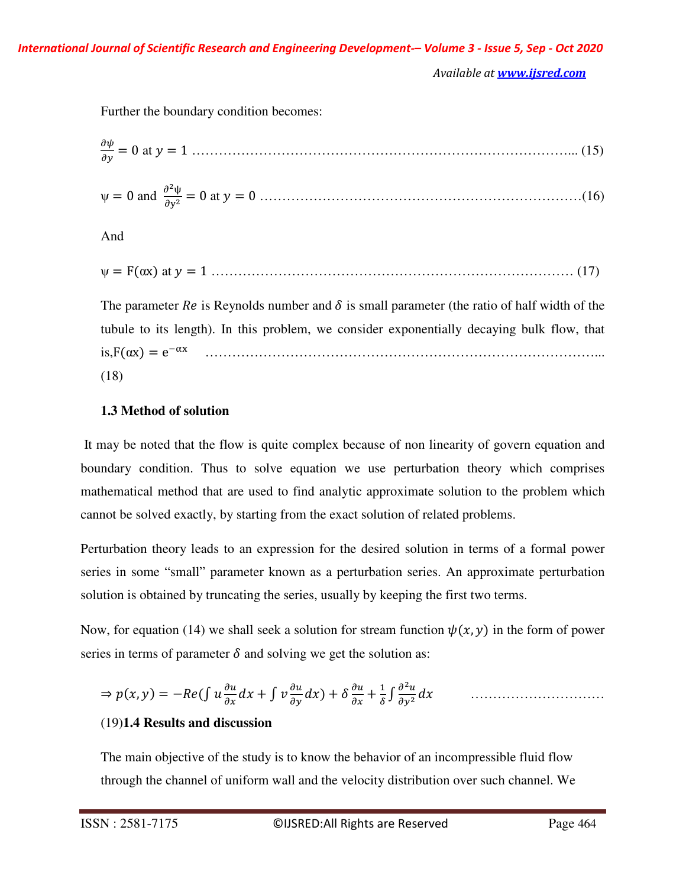*Available at www.ijsred.com*

Further the boundary condition becomes:

 9 <sup>7</sup> = 0 at = 1 …………………………………………………………………………... (15)

$$
\psi = 0
$$
 and  $\frac{\partial^2 \psi}{\partial y^2} = 0$  at  $y = 0$  .......

And

$$
\psi = F(\alpha x)
$$
 at  $y = 1$  .......

The parameter  $Re$  is Reynolds number and  $\delta$  is small parameter (the ratio of half width of the tubule to its length). In this problem, we consider exponentially decaying bulk flow, that is,  $F(\alpha x) = e^{-\alpha x}$  ……………………………………………………………………………... (18)

### **1.3 Method of solution**

 It may be noted that the flow is quite complex because of non linearity of govern equation and boundary condition. Thus to solve equation we use perturbation theory which comprises mathematical method that are used to find analytic approximate solution to the problem which cannot be solved exactly, by starting from the exact solution of related problems.

Perturbation theory leads to an expression for the desired solution in terms of a formal power series in some "small" parameter known as a perturbation series. An approximate perturbation solution is obtained by truncating the series, usually by keeping the first two terms.

Now, for equation (14) we shall seek a solution for stream function  $\psi(x, y)$  in the form of power series in terms of parameter  $\delta$  and solving we get the solution as:

⇒ 12, = −- E FG F5 H2 + I FG F7 H2 + FG F5 + J F G F7 H2 …………………………

# (19)**1.4 Results and discussion**

The main objective of the study is to know the behavior of an incompressible fluid flow through the channel of uniform wall and the velocity distribution over such channel. We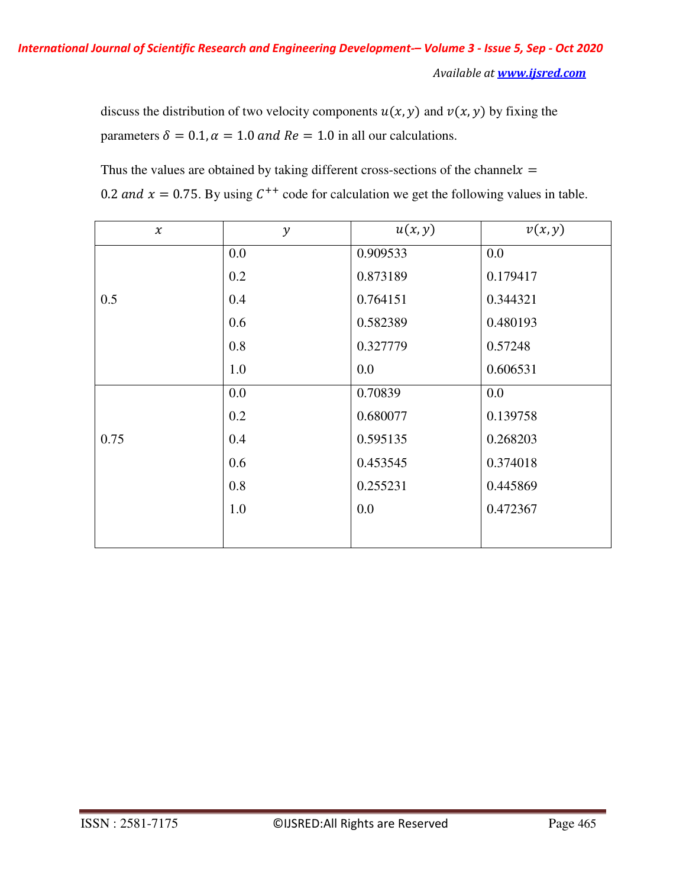discuss the distribution of two velocity components  $u(x, y)$  and  $v(x, y)$  by fixing the parameters  $\delta = 0.1$ ,  $\alpha = 1.0$  and  $Re = 1.0$  in all our calculations.

Thus the values are obtained by taking different cross-sections of the channel $x =$ 0.2 and  $x = 0.75$ . By using  $C^{++}$  code for calculation we get the following values in table.

| $\chi$ | $\mathcal{Y}$ | u(x, y)  | v(x, y)  |
|--------|---------------|----------|----------|
|        | 0.0           | 0.909533 | 0.0      |
|        | 0.2           | 0.873189 | 0.179417 |
| 0.5    | 0.4           | 0.764151 | 0.344321 |
|        | 0.6           | 0.582389 | 0.480193 |
|        | 0.8           | 0.327779 | 0.57248  |
|        | 1.0           | 0.0      | 0.606531 |
|        | 0.0           | 0.70839  | 0.0      |
|        | 0.2           | 0.680077 | 0.139758 |
| 0.75   | 0.4           | 0.595135 | 0.268203 |
|        | 0.6           | 0.453545 | 0.374018 |
|        | 0.8           | 0.255231 | 0.445869 |
|        | 1.0           | 0.0      | 0.472367 |
|        |               |          |          |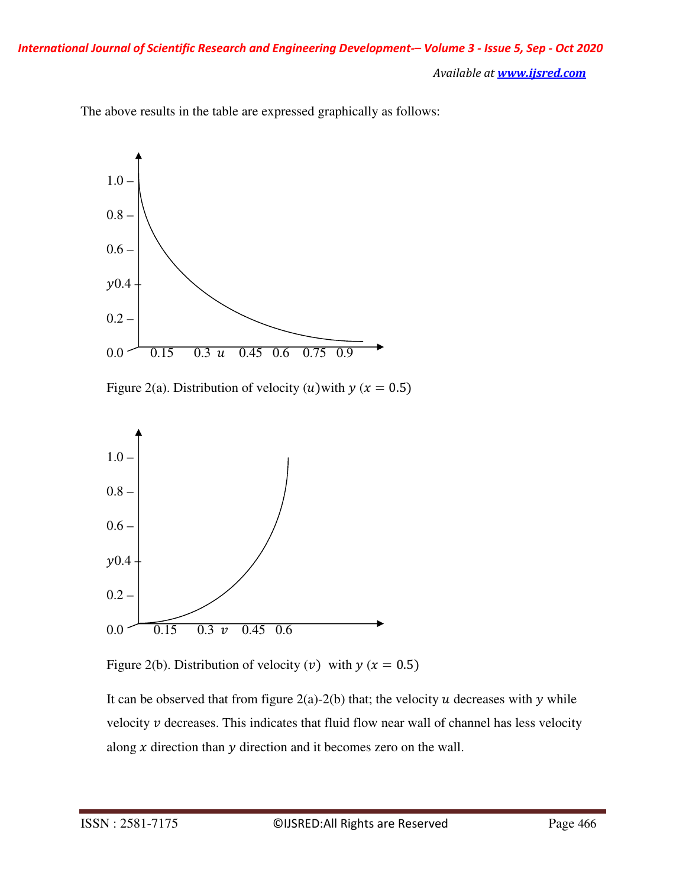*Available at www.ijsred.com*





Figure 2(a). Distribution of velocity (u) with  $y(x = 0.5)$ 



Figure 2(b). Distribution of velocity (v) with  $y(x = 0.5)$ 

It can be observed that from figure  $2(a)-2(b)$  that; the velocity u decreases with y while velocity  $\nu$  decreases. This indicates that fluid flow near wall of channel has less velocity along  $x$  direction than  $y$  direction and it becomes zero on the wall.